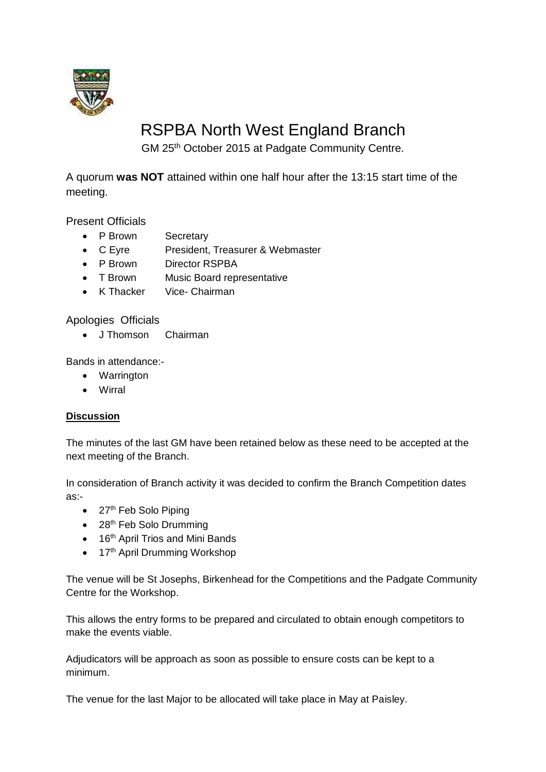

# RSPBA North West England Branch

GM 25th October 2015 at Padgate Community Centre.

A quorum **was NOT** attained within one half hour after the 13:15 start time of the meeting.

Present Officials

- P Brown Secretary
- C Eyre President, Treasurer & Webmaster
- P Brown Director RSPBA
- T Brown Music Board representative
- K Thacker Vice- Chairman

Apologies Officials

• J Thomson Chairman

Bands in attendance:-

- Warrington
- Wirral

### **Discussion**

The minutes of the last GM have been retained below as these need to be accepted at the next meeting of the Branch.

In consideration of Branch activity it was decided to confirm the Branch Competition dates as:-

- $\bullet$  27<sup>th</sup> Feb Solo Piping
- $\bullet$  28<sup>th</sup> Feb Solo Drumming
- $\bullet$  16<sup>th</sup> April Trios and Mini Bands
- $\bullet$  17<sup>th</sup> April Drumming Workshop

The venue will be St Josephs, Birkenhead for the Competitions and the Padgate Community Centre for the Workshop.

This allows the entry forms to be prepared and circulated to obtain enough competitors to make the events viable.

Adjudicators will be approach as soon as possible to ensure costs can be kept to a minimum.

The venue for the last Major to be allocated will take place in May at Paisley.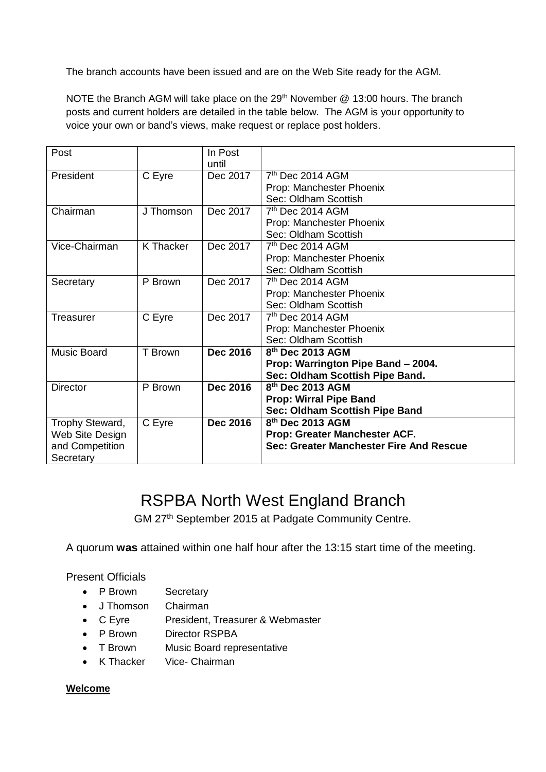The branch accounts have been issued and are on the Web Site ready for the AGM.

NOTE the Branch AGM will take place on the 29<sup>th</sup> November @ 13:00 hours. The branch posts and current holders are detailed in the table below. The AGM is your opportunity to voice your own or band's views, make request or replace post holders.

| Post               |                  | In Post<br>until |                                         |
|--------------------|------------------|------------------|-----------------------------------------|
| President          | C Eyre           | Dec 2017         | $7th$ Dec 2014 AGM                      |
|                    |                  |                  | Prop: Manchester Phoenix                |
|                    |                  |                  | Sec: Oldham Scottish                    |
| Chairman           | J Thomson        | Dec 2017         | $7th$ Dec 2014 AGM                      |
|                    |                  |                  | Prop: Manchester Phoenix                |
|                    |                  |                  | Sec: Oldham Scottish                    |
| Vice-Chairman      | <b>K</b> Thacker | Dec 2017         | 7 <sup>th</sup> Dec 2014 AGM            |
|                    |                  |                  | Prop: Manchester Phoenix                |
|                    |                  |                  | Sec: Oldham Scottish                    |
| Secretary          | P Brown          | Dec 2017         | 7 <sup>th</sup> Dec 2014 AGM            |
|                    |                  |                  | Prop: Manchester Phoenix                |
|                    |                  |                  | Sec: Oldham Scottish                    |
| <b>Treasurer</b>   | C Eyre           | Dec 2017         | $7th$ Dec 2014 AGM                      |
|                    |                  |                  | Prop: Manchester Phoenix                |
|                    |                  |                  | Sec: Oldham Scottish                    |
| <b>Music Board</b> | T Brown          | <b>Dec 2016</b>  | 8 <sup>th</sup> Dec 2013 AGM            |
|                    |                  |                  | Prop: Warrington Pipe Band - 2004.      |
|                    |                  |                  | Sec: Oldham Scottish Pipe Band.         |
| <b>Director</b>    | P Brown          | <b>Dec 2016</b>  | 8th Dec 2013 AGM                        |
|                    |                  |                  | <b>Prop: Wirral Pipe Band</b>           |
|                    |                  |                  | Sec: Oldham Scottish Pipe Band          |
| Trophy Steward,    | C Eyre           | <b>Dec 2016</b>  | 8 <sup>th</sup> Dec 2013 AGM            |
| Web Site Design    |                  |                  | Prop: Greater Manchester ACF.           |
| and Competition    |                  |                  | Sec: Greater Manchester Fire And Rescue |
| Secretary          |                  |                  |                                         |

## RSPBA North West England Branch

GM 27th September 2015 at Padgate Community Centre.

A quorum **was** attained within one half hour after the 13:15 start time of the meeting.

#### Present Officials

- P Brown Secretary
- J Thomson Chairman
- C Eyre President, Treasurer & Webmaster
- P Brown Director RSPBA
- T Brown Music Board representative
- K Thacker Vice- Chairman

#### **Welcome**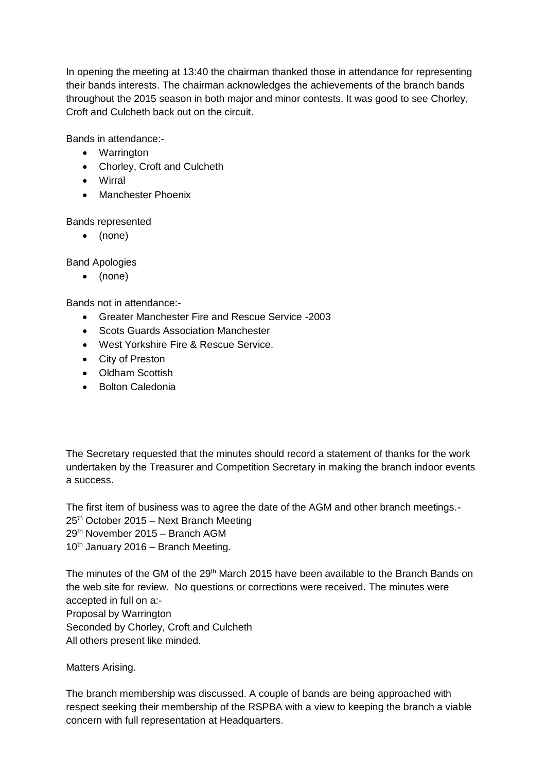In opening the meeting at 13:40 the chairman thanked those in attendance for representing their bands interests. The chairman acknowledges the achievements of the branch bands throughout the 2015 season in both major and minor contests. It was good to see Chorley, Croft and Culcheth back out on the circuit.

Bands in attendance:-

- Warrington
- Chorley, Croft and Culcheth
- Wirral
- Manchester Phoenix

Bands represented

(none)

Band Apologies

(none)

Bands not in attendance:-

- Greater Manchester Fire and Rescue Service -2003
- Scots Guards Association Manchester
- West Yorkshire Fire & Rescue Service.
- City of Preston
- Oldham Scottish
- Bolton Caledonia

The Secretary requested that the minutes should record a statement of thanks for the work undertaken by the Treasurer and Competition Secretary in making the branch indoor events a success.

The first item of business was to agree the date of the AGM and other branch meetings.- 25th October 2015 – Next Branch Meeting 29th November 2015 – Branch AGM  $10^{th}$  January 2016 – Branch Meeting.

The minutes of the GM of the 29<sup>th</sup> March 2015 have been available to the Branch Bands on the web site for review. No questions or corrections were received. The minutes were accepted in full on a:- Proposal by Warrington Seconded by Chorley, Croft and Culcheth All others present like minded.

Matters Arising.

The branch membership was discussed. A couple of bands are being approached with respect seeking their membership of the RSPBA with a view to keeping the branch a viable concern with full representation at Headquarters.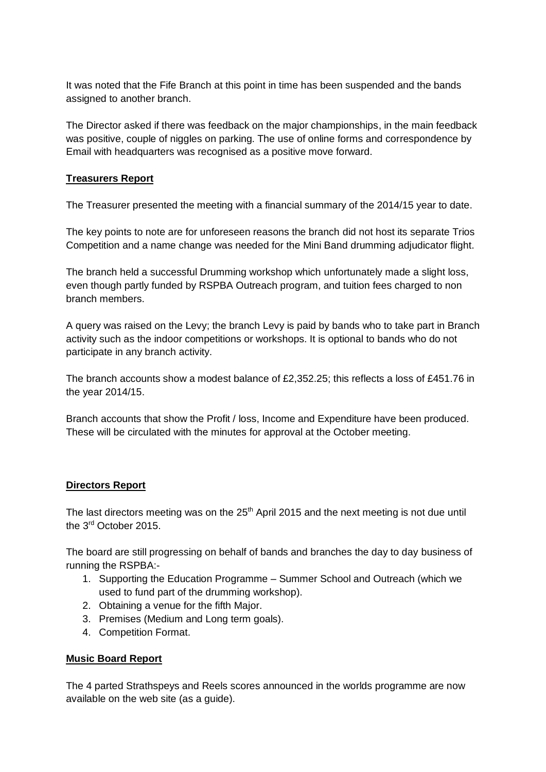It was noted that the Fife Branch at this point in time has been suspended and the bands assigned to another branch.

The Director asked if there was feedback on the major championships, in the main feedback was positive, couple of niggles on parking. The use of online forms and correspondence by Email with headquarters was recognised as a positive move forward.

#### **Treasurers Report**

The Treasurer presented the meeting with a financial summary of the 2014/15 year to date.

The key points to note are for unforeseen reasons the branch did not host its separate Trios Competition and a name change was needed for the Mini Band drumming adjudicator flight.

The branch held a successful Drumming workshop which unfortunately made a slight loss, even though partly funded by RSPBA Outreach program, and tuition fees charged to non branch members.

A query was raised on the Levy; the branch Levy is paid by bands who to take part in Branch activity such as the indoor competitions or workshops. It is optional to bands who do not participate in any branch activity.

The branch accounts show a modest balance of £2,352.25; this reflects a loss of £451.76 in the year 2014/15.

Branch accounts that show the Profit / loss, Income and Expenditure have been produced. These will be circulated with the minutes for approval at the October meeting.

#### **Directors Report**

The last directors meeting was on the 25<sup>th</sup> April 2015 and the next meeting is not due until the 3rd October 2015.

The board are still progressing on behalf of bands and branches the day to day business of running the RSPBA:-

- 1. Supporting the Education Programme Summer School and Outreach (which we used to fund part of the drumming workshop).
- 2. Obtaining a venue for the fifth Major.
- 3. Premises (Medium and Long term goals).
- 4. Competition Format.

#### **Music Board Report**

The 4 parted Strathspeys and Reels scores announced in the worlds programme are now available on the web site (as a guide).